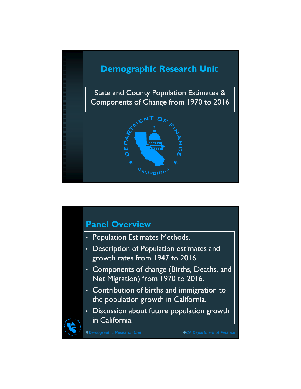

## *Demographic Research Unit CA Department of Finance* **Panel Overview** • Population Estimates Methods. • Description of Population estimates and growth rates from 1947 to 2016. • Components of change (Births, Deaths, and Net Migration) from 1970 to 2016. • Contribution of births and immigration to the population growth in California. • Discussion about future population growth in California.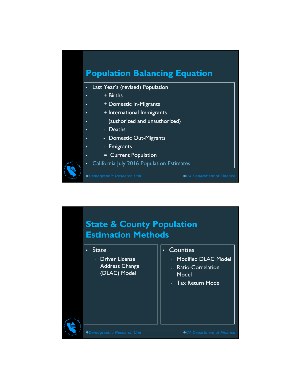

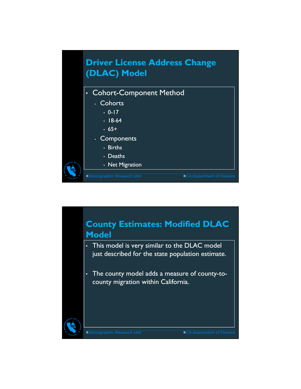

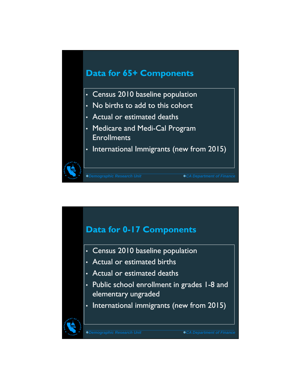

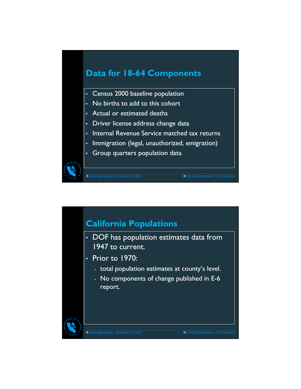## **Data for 18-64 Components**

- Census 2000 baseline population
- No births to add to this cohort
- Actual or estimated deaths
- Driver license address change data
- Internal Revenue Service matched tax returns
- Immigration (legal, unauthorized, emigration)
- Group quarters population data

**Demographic Research Unit** *Demographic Research Unit* **CA Department of Finance** 

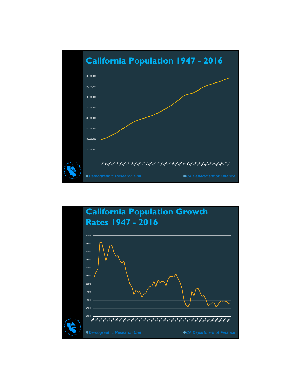

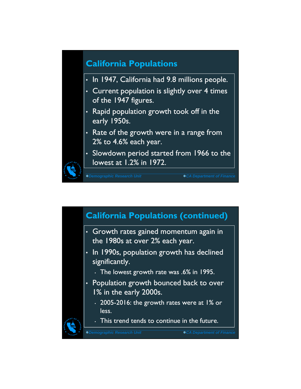

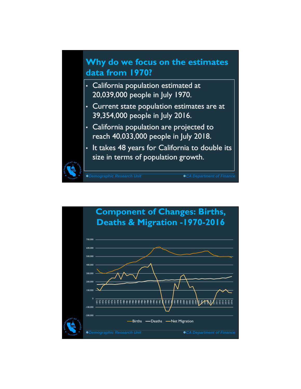

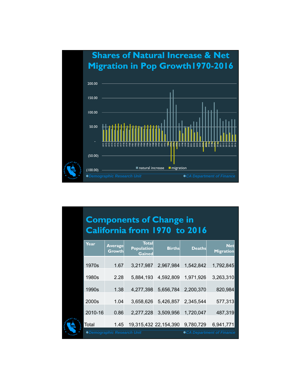

## **Components of Change in California from 1970 to 2016**

| Year    | <b>Average</b><br><b>Growth</b>    | <b>Total</b><br><b>Population</b><br><b>Gained</b> | <b>Births</b>         | <b>Deaths</b> | <b>Net</b><br><b>Migration</b> |
|---------|------------------------------------|----------------------------------------------------|-----------------------|---------------|--------------------------------|
|         |                                    |                                                    |                       |               |                                |
| 1970s   | 1.67                               | 3,217,987                                          | 2,967,984             | 1,542,842     | 1,792,845                      |
| 1980s   | 2.28                               | 5,884,193                                          | 4,592,809             | 1,971,926     | 3,263,310                      |
| 1990s   | 1.38                               | 4,277,398                                          | 5,656,784             | 2,200,370     | 820,984                        |
|         |                                    |                                                    |                       |               |                                |
| 2000s   | 1.04                               | 3,658,626                                          | 5,426,857             | 2,345,544     | 577,313                        |
| 2010-16 | 0.86                               | 2,277,228                                          | 3,509,956             | 1,720,047     | 487,319                        |
| Total   | 1.45                               |                                                    | 19,315,432 22,154,390 | 9,780,729     | 6,941,771                      |
|         | <b>• Demographic Research Unit</b> |                                                    |                       |               | ● CA Department of Finance     |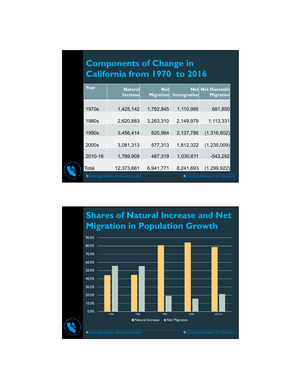| <b>Components of Change in</b><br>California from 1970 to 2016   |                                   |                                |                    |                                             |  |  |  |
|------------------------------------------------------------------|-----------------------------------|--------------------------------|--------------------|---------------------------------------------|--|--|--|
| Year                                                             | <b>Natural</b><br><b>Increase</b> | <b>Net</b><br><b>Migration</b> | <b>Immigration</b> | <b>Net Net Domestic</b><br><b>Migration</b> |  |  |  |
| 1970s                                                            | 1,425,142                         | 1,792,845                      | 1,110,995          | 681,850                                     |  |  |  |
| 1980s                                                            | 2,620,883                         | 3,263,310                      | 2,149,979          | 1,113,331                                   |  |  |  |
| 1990s                                                            | 3,456,414                         | 820,984                        | 2,137,786          | (1,316,802)                                 |  |  |  |
| 2000s                                                            | 3,081,313                         | 577,313                        | 1,812,322          | (1,235,009)                                 |  |  |  |
| 2010-16                                                          | 1,789,909                         | 487,319                        | 1,030,611          | $-543,292$                                  |  |  |  |
| Total                                                            | 12,373,661                        | 6,941,771                      | 8,241,693          | (1,299,922)                                 |  |  |  |
| <b>• Demographic Research Unit</b><br>● CA Department of Finance |                                   |                                |                    |                                             |  |  |  |

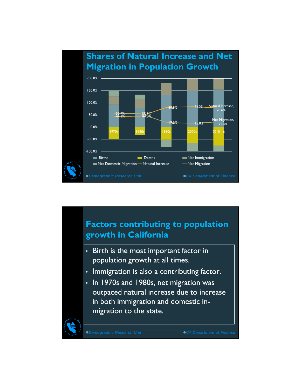